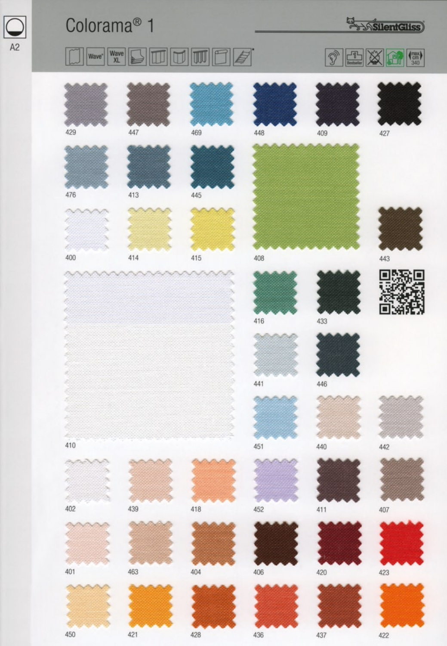



 $\boxed{\begin{array}{c} \text{Wave} \\ \text{XL} \end{array}}$ 







Wave<sup>\*</sup>



ĕ Z. é ê, 





 $\sigma$ 





























z 

ž

ĕ ź

ä